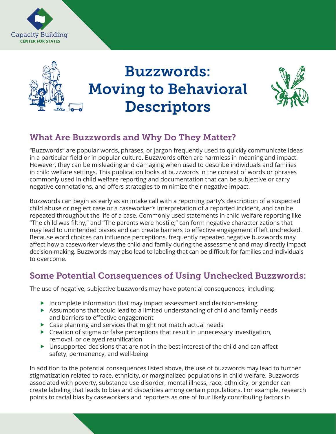



# Buzzwords: Moving to Behavioral **Descriptors**



# What Are Buzzwords and Why Do They Matter?

"Buzzwords" are popular words, phrases, or jargon frequently used to quickly communicate ideas in a particular field or in popular culture. Buzzwords often are harmless in meaning and impact. However, they can be misleading and damaging when used to describe individuals and families in child welfare settings. This publication looks at buzzwords in the context of words or phrases commonly used in child welfare reporting and documentation that can be subjective or carry negative connotations, and offers strategies to minimize their negative impact.

Buzzwords can begin as early as an intake call with a reporting party's description of a suspected child abuse or neglect case or a caseworker's interpretation of a reported incident, and can be repeated throughout the life of a case. Commonly used statements in child welfare reporting like "The child was filthy," and "The parents were hostile," can form negative characterizations that may lead to unintended biases and can create barriers to effective engagement if left unchecked. Because word choices can influence perceptions, frequently repeated negative buzzwords may affect how a caseworker views the child and family during the assessment and may directly impact decision-making. Buzzwords may also lead to labeling that can be difficult for families and individuals to overcome.

### Some Potential Consequences of Using Unchecked Buzzwords:

The use of negative, subjective buzzwords may have potential consequences, including:

- Incomplete information that may impact assessment and decision-making
- Assumptions that could lead to a limited understanding of child and family needs and barriers to effective engagement
- ▶ Case planning and services that might not match actual needs
- $\triangleright$  Creation of stigma or false perceptions that result in unnecessary investigation, removal, or delayed reunification
- $\triangleright$  Unsupported decisions that are not in the best interest of the child and can affect safety, permanency, and well-being

In addition to the potential consequences listed above, the use of buzzwords may lead to further stigmatization related to race, ethnicity, or marginalized populations in child welfare. Buzzwords associated with poverty, substance use disorder, mental illness, race, ethnicity, or gender can create labeling that leads to bias and disparities among certain populations. For example, research points to racial bias by caseworkers and reporters as one of four likely contributing factors in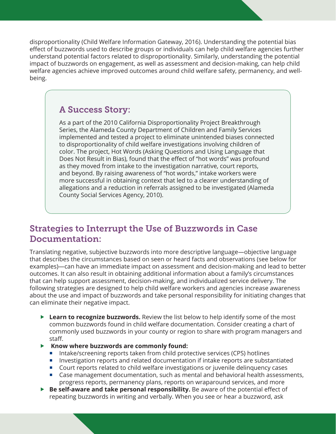disproportionality (Child Welfare Information Gateway, 2016). Understanding the potential bias effect of buzzwords used to describe groups or individuals can help child welfare agencies further understand potential factors related to disproportionality. Similarly, understanding the potential impact of buzzwords on engagement, as well as assessment and decision-making, can help child welfare agencies achieve improved outcomes around child welfare safety, permanency, and wellbeing.

#### A Success Story:

As a part of the 2010 California Disproportionality Project Breakthrough Series, the Alameda County Department of Children and Family Services implemented and tested a project to eliminate unintended biases connected to disproportionality of child welfare investigations involving children of color. The project, Hot Words (Asking Questions and Using Language that Does Not Result in Bias), found that the effect of "hot words" was profound as they moved from intake to the investigation narrative, court reports, and beyond. By raising awareness of "hot words," intake workers were more successful in obtaining context that led to a clearer understanding of allegations and a reduction in referrals assigned to be investigated (Alameda County Social Services Agency, 2010).

#### Strategies to Interrupt the Use of Buzzwords in Case Documentation:

Translating negative, subjective buzzwords into more descriptive language—objective language that describes the circumstances based on seen or heard facts and observations (see below for examples)—can have an immediate impact on assessment and decision-making and lead to better outcomes. It can also result in obtaining additional information about a family's circumstances that can help support assessment, decision-making, and individualized service delivery. The following strategies are designed to help child welfare workers and agencies increase awareness about the use and impact of buzzwords and take personal responsibility for initiating changes that can eliminate their negative impact.

- **Learn to recognize buzzwords.** Review the list below to help identify some of the most common buzzwords found in child welfare documentation. Consider creating a chart of commonly used buzzwords in your county or region to share with program managers and staff.
- **Know where buzzwords are commonly found:**
	- **•** Intake/screening reports taken from child protective services (CPS) hotlines
	- **•** Investigation reports and related documentation if intake reports are substantiated
	- Court reports related to child welfare investigations or juvenile delinquency cases
	- ¡ Case management documentation, such as mental and behavioral health assessments, progress reports, permanency plans, reports on wraparound services, and more
- **Be self-aware and take personal responsibility.** Be aware of the potential effect of repeating buzzwords in writing and verbally. When you see or hear a buzzword, ask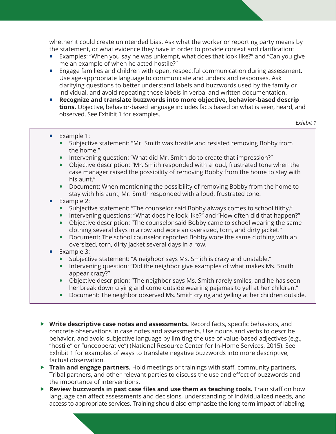whether it could create unintended bias. Ask what the worker or reporting party means by the statement, or what evidence they have in order to provide context and clarification:

- Examples: "When you say he was unkempt, what does that look like?" and "Can you give me an example of when he acted hostile?"
- Engage families and children with open, respectful communication during assessment. Use age-appropriate language to communicate and understand responses. Ask clarifying questions to better understand labels and buzzwords used by the family or individual, and avoid repeating those labels in verbal and written documentation.
- ¡ **Recognize and translate buzzwords into more objective, behavior-based descrip tions.** Objective, behavior-based language includes facts based on what is seen, heard, and observed. See Exhibit 1 for examples.

 *Exhibit 1*

- Example 1:
	- Subjective statement: "Mr. Smith was hostile and resisted removing Bobby from the home."
	- Intervening question: "What did Mr. Smith do to create that impression?"
	- Objective description: "Mr. Smith responded with a loud, frustrated tone when the case manager raised the possibility of removing Bobby from the home to stay with his aunt."
	- Document: When mentioning the possibility of removing Bobby from the home to stay with his aunt, Mr. Smith responded with a loud, frustrated tone.
- Example 2:
	- Subjective statement: "The counselor said Bobby always comes to school filthy."
	- Intervening questions: "What does he look like?" and "How often did that happen?"
	- Objective description: "The counselor said Bobby came to school wearing the same clothing several days in a row and wore an oversized, torn, and dirty jacket."
	- Document: The school counselor reported Bobby wore the same clothing with an oversized, torn, dirty jacket several days in a row.

#### ■ Example 3:

- Subjective statement: "A neighbor says Ms. Smith is crazy and unstable."
- Intervening question: "Did the neighbor give examples of what makes Ms. Smith appear crazy?"
- Objective description: "The neighbor says Ms. Smith rarely smiles, and he has seen her break down crying and come outside wearing pajamas to yell at her children."
- Document: The neighbor observed Ms. Smith crying and yelling at her children outside.
- **Write descriptive case notes and assessments.** Record facts, specific behaviors, and concrete observations in case notes and assessments. Use nouns and verbs to describe behavior, and avoid subjective language by limiting the use of value-based adjectives (e.g., "hostile" or "uncooperative") (National Resource Center for In-Home Services, 2015). See Exhibit 1 for examples of ways to translate negative buzzwords into more descriptive, factual observation.
- **Train and engage partners.** Hold meetings or trainings with staff, community partners, Tribal partners, and other relevant parties to discuss the use and effect of buzzwords and the importance of interventions.
- **Review buzzwords in past case files and use them as teaching tools.** Train staff on how language can affect assessments and decisions, understanding of individualized needs, and access to appropriate services. Training should also emphasize the long-term impact of labeling.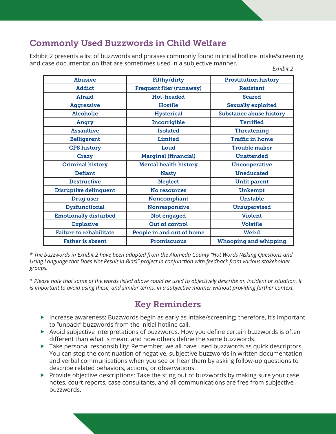## Commonly Used Buzzwords in Child Welfare

Exhibit 2 presents a list of buzzwords and phrases commonly found in initial hotline intake/screening and case documentation that are sometimes used in a subjective manner. *Exhibit 2*

| Filthy/dirty                    | <b>Prostitution history</b>    |
|---------------------------------|--------------------------------|
| <b>Frequent flier (runaway)</b> | <b>Resistant</b>               |
| <b>Hot-headed</b>               | <b>Scared</b>                  |
| <b>Hostile</b>                  | <b>Sexually exploited</b>      |
| <b>Hysterical</b>               | <b>Substance abuse history</b> |
| Incorrigible                    | <b>Terrified</b>               |
| <b>Isolated</b>                 | <b>Threatening</b>             |
| Limited                         | <b>Traffic in home</b>         |
| Loud                            | <b>Trouble maker</b>           |
| <b>Marginal (financial)</b>     | <b>Unattended</b>              |
| <b>Mental health history</b>    | <b>Uncooperative</b>           |
| <b>Nasty</b>                    | <b>Uneducated</b>              |
| <b>Neglect</b>                  | <b>Unfit parent</b>            |
| No resources                    | <b>Unkempt</b>                 |
| Noncompliant                    | <b>Unstable</b>                |
| Nonresponsive                   | <b>Unsupervised</b>            |
| Not engaged                     | <b>Violent</b>                 |
| <b>Out of control</b>           | <b>Volatile</b>                |
| People in and out of home       | <b>Weird</b>                   |
| <b>Promiscuous</b>              | <b>Whooping and whipping</b>   |
|                                 |                                |

*\* The buzzwords in Exhibit 2 have been adapted from the Alameda County "Hot Words (Asking Questions and Using Language that Does Not Result in Bias)" project in conjunction with feedback from various stakeholder groups.*

*\* Please note that some of the words listed above could be used to objectively describe an incident or situation. It is important to avoid using these, and similar terms, in a subjective manner without providing further context.*

# Key Reminders

- Increase awareness: Buzzwords begin as early as intake/screening; therefore, it's important to "unpack" buzzwords from the initial hotline call.
- Avoid subjective interpretations of buzzwords. How you define certain buzzwords is often different than what is meant and how others define the same buzzwords.
- $\blacktriangleright$  Take personal responsibility: Remember, we all have used buzzwords as quick descriptors. You can stop the continuation of negative, subjective buzzwords in written documentation and verbal communications when you see or hear them by asking follow-up questions to describe related behaviors, actions, or observations.
- $\triangleright$  Provide objective descriptions: Take the sting out of buzzwords by making sure your case notes, court reports, case consultants, and all communications are free from subjective buzzwords.